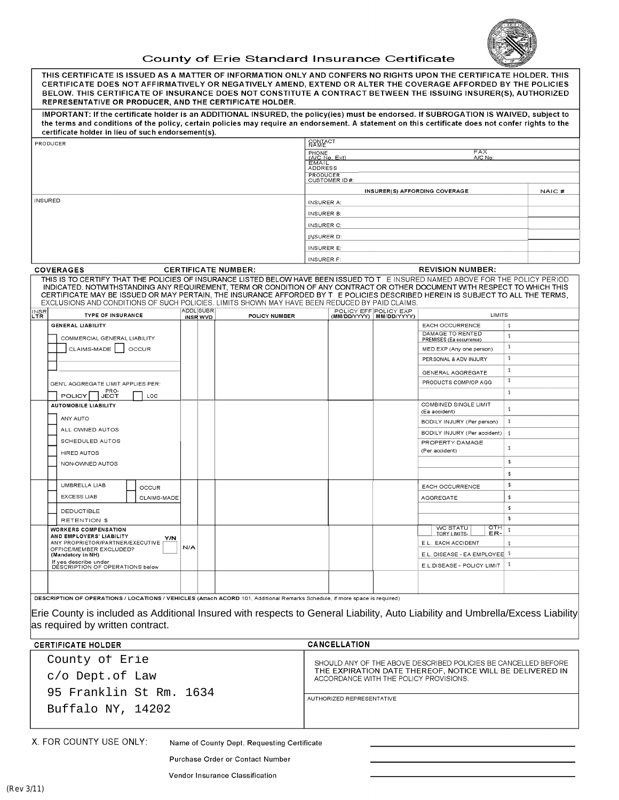

## County of Erie Standard Insurance Certificate

|                   | THIS CERTIFICATE IS ISSUED AS A MATTER OF INFORMATION ONLY AND CONFERS NO RIGHTS UPON THE CERTIFICATE HOLDER. THIS<br>CERTIFICATE DOES NOT AFFIRMATIVELY OR NEGATIVELY AMEND, EXTEND OR ALTER THE COVERAGE AFFORDED BY THE POLICIES<br>BELOW. THIS CERTIFICATE OF INSURANCE DOES NOT CONSTITUTE A CONTRACT BETWEEN THE ISSUING INSURER(S), AUTHORIZED<br>REPRESENTATIVE OR PRODUCER. AND THE CERTIFICATE HOLDER.                                                                                   |                                     |                                                                |                                                                                                    |                       |                            |                                                  |        |       |
|-------------------|----------------------------------------------------------------------------------------------------------------------------------------------------------------------------------------------------------------------------------------------------------------------------------------------------------------------------------------------------------------------------------------------------------------------------------------------------------------------------------------------------|-------------------------------------|----------------------------------------------------------------|----------------------------------------------------------------------------------------------------|-----------------------|----------------------------|--------------------------------------------------|--------|-------|
|                   | IMPORTANT: If the certificate holder is an ADDITIONAL INSURED, the policy(ies) must be endorsed. If SUBROGATION IS WAIVED, subject to<br>the terms and conditions of the policy, certain policies may require an endorsement. A statement on this certificate does not confer rights to the<br>certificate holder in lieu of such endorsement(s).                                                                                                                                                  |                                     |                                                                |                                                                                                    |                       |                            |                                                  |        |       |
|                   | PRODUCER                                                                                                                                                                                                                                                                                                                                                                                                                                                                                           |                                     |                                                                | RAMECT                                                                                             |                       |                            |                                                  |        |       |
|                   |                                                                                                                                                                                                                                                                                                                                                                                                                                                                                                    |                                     |                                                                | PHONE<br>(A/C No, Ext)                                                                             |                       |                            | <b>FAX</b><br>A/C No:                            |        |       |
|                   |                                                                                                                                                                                                                                                                                                                                                                                                                                                                                                    |                                     |                                                                | EMAIL<br>ADDRESS                                                                                   |                       |                            |                                                  |        |       |
|                   |                                                                                                                                                                                                                                                                                                                                                                                                                                                                                                    |                                     |                                                                | <b>PRODUCER</b><br>CUSTOMER ID#:                                                                   |                       |                            |                                                  |        |       |
|                   |                                                                                                                                                                                                                                                                                                                                                                                                                                                                                                    |                                     |                                                                |                                                                                                    |                       |                            | INSURER(S) AFFORDING COVERAGE                    |        | NAIC# |
| <b>INSURED</b>    |                                                                                                                                                                                                                                                                                                                                                                                                                                                                                                    |                                     |                                                                | <b>INSURER A:</b>                                                                                  |                       |                            |                                                  |        |       |
|                   |                                                                                                                                                                                                                                                                                                                                                                                                                                                                                                    |                                     |                                                                | <b>INSURER B:</b>                                                                                  |                       |                            |                                                  |        |       |
|                   |                                                                                                                                                                                                                                                                                                                                                                                                                                                                                                    |                                     |                                                                | <b>INSURER C:</b>                                                                                  |                       |                            |                                                  |        |       |
|                   |                                                                                                                                                                                                                                                                                                                                                                                                                                                                                                    |                                     |                                                                | INSURER D:                                                                                         |                       |                            |                                                  |        |       |
|                   |                                                                                                                                                                                                                                                                                                                                                                                                                                                                                                    |                                     |                                                                | <b>INSURER E:</b>                                                                                  |                       |                            |                                                  |        |       |
|                   |                                                                                                                                                                                                                                                                                                                                                                                                                                                                                                    |                                     |                                                                | <b>INSURER F:</b>                                                                                  |                       |                            |                                                  |        |       |
|                   | <b>COVERAGES</b>                                                                                                                                                                                                                                                                                                                                                                                                                                                                                   |                                     | <b>CERTIFICATE NUMBER:</b>                                     |                                                                                                    |                       |                            | <b>REVISION NUMBER:</b>                          |        |       |
|                   | THIS IS TO CERTIFY THAT THE POLICIES OF INSURANCE LISTED BELOW HAVE BEEN ISSUED TO T E INSURED NAMED ABOVE FOR THE POLICY PERIOD<br>INDICATED. NOTWITHSTANDING ANY REQUIREMENT, TERM OR CONDITION OF ANY CONTRACT OR OTHER DOCUMENT WITH RESPECT TO WHICH THIS<br>CERTIFICATE MAY BE ISSUED OR MAY PERTAIN, THE INSURANCE AFFORDED BY T E POLICIES DESCRIBED HEREIN IS SUBJECT TO ALL THE TERMS,<br>EXCLUSIONS AND CONDITIONS OF SUCH POLICIES. LIMITS SHOWN MAY HAVE BEEN REDUCED BY PAID CLAIMS. |                                     |                                                                |                                                                                                    |                       |                            |                                                  |        |       |
| INSR<br>LTR       | <b>TYPE OF INSURANCE</b>                                                                                                                                                                                                                                                                                                                                                                                                                                                                           | <b>ADDL SUBR</b><br><b>INSR WVD</b> | POLICY NUMBER                                                  |                                                                                                    | POLICY EFF POLICY EXP | (MM/DD/YYYY)   MM/DD/YYYY) | <b>LIMITS</b>                                    |        |       |
|                   | <b>GENERAL LIABILITY</b>                                                                                                                                                                                                                                                                                                                                                                                                                                                                           |                                     |                                                                |                                                                                                    |                       |                            | <b>EACH OCCURRENCE</b>                           | \$     |       |
|                   | COMMERCIAL GENERAL LIABILITY                                                                                                                                                                                                                                                                                                                                                                                                                                                                       |                                     |                                                                |                                                                                                    |                       |                            | DAMAGE TO RENTED<br>PREMISES (Ea occurrence)     | \$     |       |
|                   | CLAIMS-MADE<br>OCCUR                                                                                                                                                                                                                                                                                                                                                                                                                                                                               |                                     |                                                                |                                                                                                    |                       |                            | MED EXP (Any one person)                         | \$     |       |
|                   |                                                                                                                                                                                                                                                                                                                                                                                                                                                                                                    |                                     |                                                                |                                                                                                    |                       |                            | PERSONAL & ADV INJURY                            | \$     |       |
|                   |                                                                                                                                                                                                                                                                                                                                                                                                                                                                                                    |                                     |                                                                |                                                                                                    |                       |                            | GENERAL AGGREGATE                                | \$     |       |
|                   | GEN'L AGGREGATE LIMIT APPLIES PER:                                                                                                                                                                                                                                                                                                                                                                                                                                                                 |                                     |                                                                |                                                                                                    |                       |                            | PRODUCTS COMP/OP AGG                             | \$     |       |
|                   | PRO-<br>POLICY<br>LOC<br><b>JECT</b>                                                                                                                                                                                                                                                                                                                                                                                                                                                               |                                     |                                                                |                                                                                                    |                       |                            |                                                  | \$.    |       |
|                   | <b>AUTOMOBILE LIABILITY</b>                                                                                                                                                                                                                                                                                                                                                                                                                                                                        |                                     |                                                                |                                                                                                    |                       |                            | COMBINED SINGLE LIMIT<br>(Ea accident)           | \$     |       |
|                   | ANY AUTO                                                                                                                                                                                                                                                                                                                                                                                                                                                                                           |                                     |                                                                |                                                                                                    |                       |                            | BODILY INJURY (Per person)                       | \$     |       |
|                   | ALL OWNED AUTOS                                                                                                                                                                                                                                                                                                                                                                                                                                                                                    |                                     |                                                                |                                                                                                    |                       |                            | BODILY INJURY (Per accident)                     | -\$    |       |
|                   | SCHEDULED AUTOS                                                                                                                                                                                                                                                                                                                                                                                                                                                                                    |                                     |                                                                |                                                                                                    |                       |                            | PROPERTY DAMAGE                                  | \$     |       |
|                   | HIRED AUTOS                                                                                                                                                                                                                                                                                                                                                                                                                                                                                        |                                     |                                                                |                                                                                                    |                       |                            | (Per accident)                                   |        |       |
|                   | NON-OWNED AUTOS                                                                                                                                                                                                                                                                                                                                                                                                                                                                                    |                                     |                                                                |                                                                                                    |                       |                            |                                                  | s      |       |
|                   |                                                                                                                                                                                                                                                                                                                                                                                                                                                                                                    |                                     |                                                                |                                                                                                    |                       |                            |                                                  | s<br>s |       |
|                   | UMBRELLA LIAB<br><b>OCCUR</b><br><b>EXCESS LIAB</b>                                                                                                                                                                                                                                                                                                                                                                                                                                                |                                     |                                                                |                                                                                                    |                       |                            | <b>EACH OCCURRENCE</b>                           |        |       |
|                   | CLAIMS-MADE                                                                                                                                                                                                                                                                                                                                                                                                                                                                                        |                                     |                                                                |                                                                                                    |                       |                            | AGGREGATE                                        | Ś<br>s |       |
|                   | DEDUCTIBLE<br><b>RETENTION \$</b>                                                                                                                                                                                                                                                                                                                                                                                                                                                                  |                                     |                                                                |                                                                                                    |                       |                            |                                                  | s      |       |
|                   | <b>WORKERS COMPENSATION</b>                                                                                                                                                                                                                                                                                                                                                                                                                                                                        |                                     |                                                                |                                                                                                    |                       |                            | $\overline{\text{OPT}}$<br>WC STATU              |        |       |
|                   | AND EMPLOYERS' LIABILITY<br>Y/N<br>ANY PROPRIETOR/PARTNER/EXECUTIVE                                                                                                                                                                                                                                                                                                                                                                                                                                |                                     |                                                                |                                                                                                    |                       |                            | TORY LIMITS-<br><u>ER-</u><br>E.L. EACH ACCIDENT | \$     |       |
|                   | OFFICE/MEMBER EXCLUDED?<br>(Mandatory in NH)                                                                                                                                                                                                                                                                                                                                                                                                                                                       | N/A                                 |                                                                |                                                                                                    |                       |                            | E.L. DISEASE - EA EMPLOYEE \$                    |        |       |
|                   | If yes describe under<br>DESCRIPTION OF OPERATIONS below                                                                                                                                                                                                                                                                                                                                                                                                                                           |                                     |                                                                |                                                                                                    |                       |                            | E.L.DISEASE - POLICY LIMIT                       | \$     |       |
|                   |                                                                                                                                                                                                                                                                                                                                                                                                                                                                                                    |                                     |                                                                |                                                                                                    |                       |                            |                                                  |        |       |
|                   |                                                                                                                                                                                                                                                                                                                                                                                                                                                                                                    |                                     |                                                                |                                                                                                    |                       |                            |                                                  |        |       |
|                   | DESCRIPTION OF OPERATIONS / LOCATIONS / VEHICLES (Attach ACORD 101, Additional Remarks Schedule, if more space is required)                                                                                                                                                                                                                                                                                                                                                                        |                                     |                                                                |                                                                                                    |                       |                            |                                                  |        |       |
|                   | Erie County is included as Additional Insured with respects to General Liability, Auto Liability and Umbrella/Excess Liability<br>as required by written contract.                                                                                                                                                                                                                                                                                                                                 |                                     |                                                                |                                                                                                    |                       |                            |                                                  |        |       |
|                   | <b>CERTIFICATE HOLDER</b>                                                                                                                                                                                                                                                                                                                                                                                                                                                                          |                                     |                                                                |                                                                                                    | <b>CANCELLATION</b>   |                            |                                                  |        |       |
| County of Erie    |                                                                                                                                                                                                                                                                                                                                                                                                                                                                                                    |                                     | SHOULD ANY OF THE ABOVE DESCRIBED POLICIES BE CANCELLED BEFORE |                                                                                                    |                       |                            |                                                  |        |       |
|                   | c/o Dept.of Law                                                                                                                                                                                                                                                                                                                                                                                                                                                                                    |                                     |                                                                | THE EXPIRATION DATE THEREOF, NOTICE WILL BE DELIVERED IN<br>ACCORDANCE WITH THE POLICY PROVISIONS. |                       |                            |                                                  |        |       |
|                   | 95 Franklin St Rm. 1634                                                                                                                                                                                                                                                                                                                                                                                                                                                                            |                                     |                                                                | AUTHORIZED REPRESENTATIVE                                                                          |                       |                            |                                                  |        |       |
| Buffalo NY, 14202 |                                                                                                                                                                                                                                                                                                                                                                                                                                                                                                    |                                     |                                                                |                                                                                                    |                       |                            |                                                  |        |       |

X. FOR COUNTY USE ONLY:

Name of County Dept. Requesting Certificate

Purchase Order or Contact Number

Vendor Insurance Classification